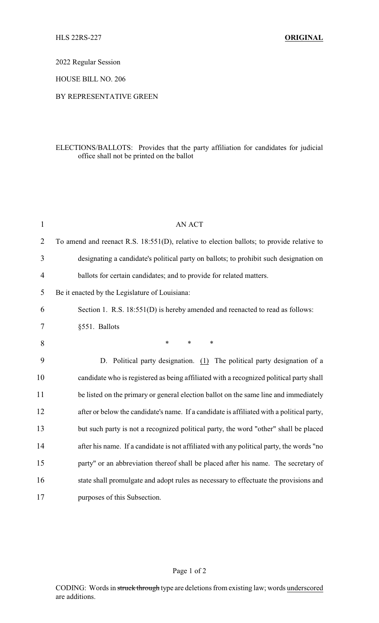2022 Regular Session

HOUSE BILL NO. 206

## BY REPRESENTATIVE GREEN

## ELECTIONS/BALLOTS: Provides that the party affiliation for candidates for judicial office shall not be printed on the ballot

| $\mathbf{1}$   | <b>AN ACT</b>                                                                             |
|----------------|-------------------------------------------------------------------------------------------|
| $\overline{2}$ | To amend and reenact R.S. 18:551(D), relative to election ballots; to provide relative to |
| 3              | designating a candidate's political party on ballots; to prohibit such designation on     |
| $\overline{4}$ | ballots for certain candidates; and to provide for related matters.                       |
| 5              | Be it enacted by the Legislature of Louisiana:                                            |
| 6              | Section 1. R.S. 18:551(D) is hereby amended and reenacted to read as follows:             |
| $\tau$         | §551. Ballots                                                                             |
| 8              | $\ast$<br>$\ast$<br>$\ast$                                                                |
| 9              | D. Political party designation. (1) The political party designation of a                  |
| 10             | candidate who is registered as being affiliated with a recognized political party shall   |
| 11             | be listed on the primary or general election ballot on the same line and immediately      |
| 12             | after or below the candidate's name. If a candidate is affiliated with a political party, |
| 13             | but such party is not a recognized political party, the word "other" shall be placed      |
| 14             | after his name. If a candidate is not affiliated with any political party, the words "no  |
| 15             | party" or an abbreviation thereof shall be placed after his name. The secretary of        |
| 16             | state shall promulgate and adopt rules as necessary to effectuate the provisions and      |
| 17             | purposes of this Subsection.                                                              |